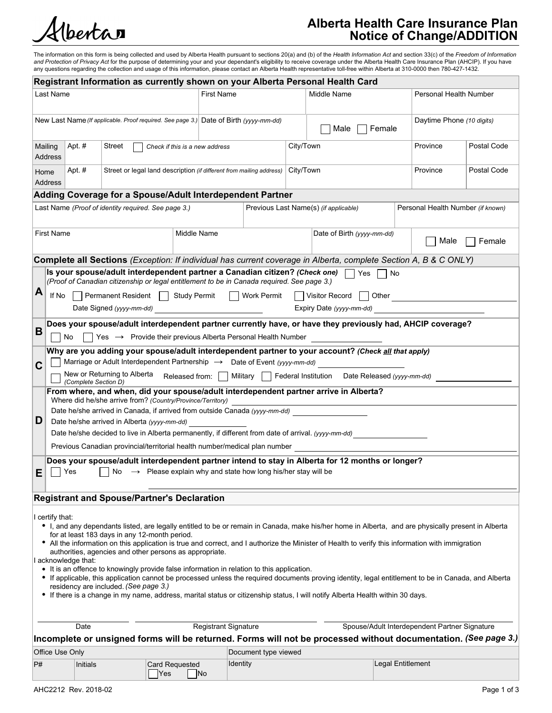

# Alberta Health Care Insurance Plan Notice of Change/ADDITION

The information on this form is being collected and used by Alberta Health pursuant to sections 20(a) and (b) of the Health Information Act and section 33(c) of the Freedom of Information *and Protection of Privacy Act* for the purpose of determining your and your dependant's eligibility to receive coverage under the Alberta Health Care Insurance Plan (AHCIP). If you have<br>any questions regarding the collect

|                                                                                       |                                                                                            |                                                                                                                                                                                   |                                |                             |                           |           | Registrant Information as currently shown on your Alberta Personal Health Card                                                                                                                                                                                                                           |                   |                        |                                   |  |
|---------------------------------------------------------------------------------------|--------------------------------------------------------------------------------------------|-----------------------------------------------------------------------------------------------------------------------------------------------------------------------------------|--------------------------------|-----------------------------|---------------------------|-----------|----------------------------------------------------------------------------------------------------------------------------------------------------------------------------------------------------------------------------------------------------------------------------------------------------------|-------------------|------------------------|-----------------------------------|--|
|                                                                                       | Last Name                                                                                  |                                                                                                                                                                                   |                                | <b>First Name</b>           |                           |           | Middle Name                                                                                                                                                                                                                                                                                              |                   | Personal Health Number |                                   |  |
| New Last Name (If applicable. Proof required. See page 3.) Date of Birth (yyyy-mm-dd) |                                                                                            |                                                                                                                                                                                   |                                |                             | $\Box$ Male $\Box$ Female |           | Daytime Phone (10 digits)                                                                                                                                                                                                                                                                                |                   |                        |                                   |  |
|                                                                                       | Apt. #<br>Mailing<br>Address                                                               | Street                                                                                                                                                                            | Check if this is a new address |                             |                           | City/Town |                                                                                                                                                                                                                                                                                                          |                   | Province               | Postal Code                       |  |
|                                                                                       | Apt. #<br>Home<br>Address                                                                  | Street or legal land description (if different from mailing address) City/Town                                                                                                    |                                |                             |                           |           |                                                                                                                                                                                                                                                                                                          |                   | Province               | Postal Code                       |  |
|                                                                                       | Adding Coverage for a Spouse/Adult Interdependent Partner                                  |                                                                                                                                                                                   |                                |                             |                           |           |                                                                                                                                                                                                                                                                                                          |                   |                        |                                   |  |
|                                                                                       | Last Name (Proof of identity required. See page 3.)                                        |                                                                                                                                                                                   |                                |                             |                           |           | Previous Last Name(s) (if applicable)                                                                                                                                                                                                                                                                    |                   |                        | Personal Health Number (if known) |  |
| <b>First Name</b><br>Middle Name                                                      |                                                                                            |                                                                                                                                                                                   |                                |                             |                           |           | Date of Birth (yyyy-mm-dd)                                                                                                                                                                                                                                                                               |                   | ∣ Male<br>Female       |                                   |  |
|                                                                                       |                                                                                            |                                                                                                                                                                                   |                                |                             |                           |           | Complete all Sections (Exception: If individual has current coverage in Alberta, complete Section A, B & C ONLY)                                                                                                                                                                                         |                   |                        |                                   |  |
|                                                                                       |                                                                                            | (Proof of Canadian citizenship or legal entitlement to be in Canada required. See page 3.)                                                                                        |                                |                             |                           |           | Is your spouse/adult interdependent partner a Canadian citizen? (Check one) $\Box$ Yes $\Box$ No                                                                                                                                                                                                         |                   |                        |                                   |  |
| $\overline{\mathsf{A}}$                                                               |                                                                                            | If No   Permanent Resident   Study Permit   Work Permit<br>Date Signed (yyyy-mm-dd)                                                                                               |                                |                             |                           |           | Visitor Record   Other<br>Expiry Date (yyyy-mm-dd)                                                                                                                                                                                                                                                       |                   |                        |                                   |  |
| B                                                                                     | l INo                                                                                      | $Yes \rightarrow$ Provide their previous Alberta Personal Health Number                                                                                                           |                                |                             |                           |           | Does your spouse/adult interdependent partner currently have, or have they previously had, AHCIP coverage?                                                                                                                                                                                               |                   |                        |                                   |  |
|                                                                                       |                                                                                            |                                                                                                                                                                                   |                                |                             |                           |           | Why are you adding your spouse/adult interdependent partner to your account? (Check all that apply)                                                                                                                                                                                                      |                   |                        |                                   |  |
| $\mathbf C$                                                                           |                                                                                            | Marriage or Adult Interdependent Partnership $\rightarrow$ Date of Event (yyyy-mm-dd)                                                                                             |                                |                             |                           |           |                                                                                                                                                                                                                                                                                                          |                   |                        |                                   |  |
|                                                                                       | (Complete Section D)                                                                       |                                                                                                                                                                                   |                                |                             |                           |           | New or Returning to Alberta Released from: Military   Federal Institution Date Released (yyyy-mm-dd)<br>From where, and when, did your spouse/adult interdependent partner arrive in Alberta?                                                                                                            |                   |                        |                                   |  |
|                                                                                       |                                                                                            | Where did he/she arrive from? (Country/Province/Territory)                                                                                                                        |                                |                             |                           |           |                                                                                                                                                                                                                                                                                                          |                   |                        |                                   |  |
|                                                                                       |                                                                                            | Date he/she arrived in Canada, if arrived from outside Canada (yyyy-mm-dd)                                                                                                        |                                |                             |                           |           |                                                                                                                                                                                                                                                                                                          |                   |                        |                                   |  |
| D                                                                                     | Date he/she arrived in Alberta (yyyy-mm-dd)                                                |                                                                                                                                                                                   |                                |                             |                           |           |                                                                                                                                                                                                                                                                                                          |                   |                        |                                   |  |
|                                                                                       |                                                                                            | Date he/she decided to live in Alberta permanently, if different from date of arrival. (yyyy-mm-dd)<br>Previous Canadian provincial/territorial health number/medical plan number |                                |                             |                           |           |                                                                                                                                                                                                                                                                                                          |                   |                        |                                   |  |
| E                                                                                     | $ $ $\rceil$ Yes                                                                           | $\vert$ No $\rightarrow$ Please explain why and state how long his/her stay will be                                                                                               |                                |                             |                           |           | Does your spouse/adult interdependent partner intend to stay in Alberta for 12 months or longer?                                                                                                                                                                                                         |                   |                        |                                   |  |
|                                                                                       | <b>Registrant and Spouse/Partner's Declaration</b>                                         |                                                                                                                                                                                   |                                |                             |                           |           |                                                                                                                                                                                                                                                                                                          |                   |                        |                                   |  |
|                                                                                       | certify that:<br>acknowledge that:                                                         | for at least 183 days in any 12-month period.<br>authorities, agencies and other persons as appropriate.                                                                          |                                |                             |                           |           | • I, and any dependants listed, are legally entitled to be or remain in Canada, make his/her home in Alberta, and are physically present in Alberta<br>. All the information on this application is true and correct, and I authorize the Minister of Health to verify this information with immigration |                   |                        |                                   |  |
|                                                                                       | • It is an offence to knowingly provide false information in relation to this application. | residency are included. (See page 3.)                                                                                                                                             |                                |                             |                           |           | • If applicable, this application cannot be processed unless the required documents proving identity, legal entitlement to be in Canada, and Alberta<br>• If there is a change in my name, address, marital status or citizenship status, I will notify Alberta Health within 30 days.                   |                   |                        |                                   |  |
|                                                                                       | Date                                                                                       |                                                                                                                                                                                   |                                | <b>Registrant Signature</b> |                           |           | Spouse/Adult Interdependent Partner Signature<br>Incomplete or unsigned forms will be returned. Forms will not be processed without documentation. (See page 3.)                                                                                                                                         |                   |                        |                                   |  |
|                                                                                       | Office Use Only                                                                            |                                                                                                                                                                                   |                                |                             | Document type viewed      |           |                                                                                                                                                                                                                                                                                                          |                   |                        |                                   |  |
| P#                                                                                    | Initials                                                                                   |                                                                                                                                                                                   | Card Requested<br><b>Yes</b>   | Identity<br>$\vert$ No      |                           |           |                                                                                                                                                                                                                                                                                                          | Legal Entitlement |                        |                                   |  |
|                                                                                       | AHC2212 Rev. 2018-02                                                                       |                                                                                                                                                                                   |                                |                             |                           |           |                                                                                                                                                                                                                                                                                                          |                   |                        | Page 1 of 3                       |  |
|                                                                                       |                                                                                            |                                                                                                                                                                                   |                                |                             |                           |           |                                                                                                                                                                                                                                                                                                          |                   |                        |                                   |  |
|                                                                                       |                                                                                            |                                                                                                                                                                                   |                                |                             |                           |           |                                                                                                                                                                                                                                                                                                          |                   |                        |                                   |  |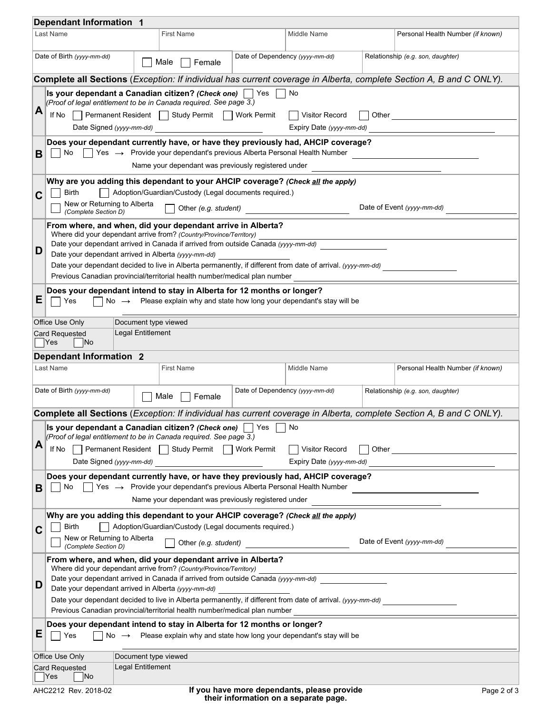|                | <b>Dependant Information 1</b>                      |                                           |                                                                                                                                                                                           |                                             |                                                                                                                     |
|----------------|-----------------------------------------------------|-------------------------------------------|-------------------------------------------------------------------------------------------------------------------------------------------------------------------------------------------|---------------------------------------------|---------------------------------------------------------------------------------------------------------------------|
|                | Last Name                                           |                                           | <b>First Name</b>                                                                                                                                                                         | Middle Name                                 | Personal Health Number (if known)                                                                                   |
|                | Date of Birth (yyyy-mm-dd)                          |                                           | Male<br>$\mathbf{I}$<br>Female                                                                                                                                                            | Date of Dependency (yyyy-mm-dd)             | Relationship (e.g. son, daughter)                                                                                   |
|                |                                                     |                                           |                                                                                                                                                                                           |                                             | Complete all Sections (Exception: If individual has current coverage in Alberta, complete Section A, B and C ONLY). |
|                |                                                     |                                           | Is your dependant a Canadian citizen? (Check one) $\Box$ Yes $\Box$ No<br>(Proof of legal entitlement to be in Canada required. See page 3.)                                              |                                             |                                                                                                                     |
| $\vert$ A      |                                                     |                                           | If No   Permanent Resident   Study Permit   Work Permit   Visitor Record<br>Date Signed (yyyy-mm-dd)                                                                                      |                                             | □ Other <u>_______________________</u>                                                                              |
|                |                                                     |                                           |                                                                                                                                                                                           |                                             | Expiry Date (yyyy-mm-dd)                                                                                            |
| $\mathbf{B}$   |                                                     |                                           | Does your dependant currently have, or have they previously had, AHCIP coverage?<br>$\Box$ No $\Box$ Yes $\rightarrow$ Provide your dependant's previous Alberta Personal Health Number   |                                             |                                                                                                                     |
|                |                                                     |                                           | Name your dependant was previously registered under                                                                                                                                       |                                             |                                                                                                                     |
| $\mathbf{C}$   | <b>Birth</b>                                        |                                           | Why are you adding this dependant to your AHCIP coverage? (Check all the apply)<br>Adoption/Guardian/Custody (Legal documents required.)                                                  |                                             |                                                                                                                     |
|                | New or Returning to Alberta<br>(Complete Section D) |                                           | $\Box$ Other (e.g. student)                                                                                                                                                               |                                             | Date of Event (yyyy-mm-dd)                                                                                          |
|                |                                                     |                                           | From where, and when, did your dependant arrive in Alberta?<br>Where did your dependant arrive from? (Country/Province/Territory)                                                         |                                             |                                                                                                                     |
| D              |                                                     |                                           | Date your dependant arrived in Canada if arrived from outside Canada (yyyy-mm-dd)                                                                                                         |                                             |                                                                                                                     |
|                | Date your dependant arrived in Alberta (yyyy-mm-dd) |                                           | Date your dependant decided to live in Alberta permanently, if different from date of arrival. (yyyy-mm-dd)                                                                               |                                             |                                                                                                                     |
|                |                                                     |                                           | Previous Canadian provincial/territorial health number/medical plan number                                                                                                                |                                             |                                                                                                                     |
| E              | Yes                                                 |                                           | Does your dependant intend to stay in Alberta for 12 months or longer?<br>$\Box$ No $\rightarrow$ Please explain why and state how long your dependant's stay will be                     |                                             |                                                                                                                     |
|                | Office Use Only                                     | Document type viewed                      |                                                                                                                                                                                           |                                             |                                                                                                                     |
|                | <b>Card Requested</b><br>$\vert$ Yes<br> No         | Legal Entitlement                         |                                                                                                                                                                                           |                                             |                                                                                                                     |
|                | <b>Dependant Information 2</b>                      |                                           |                                                                                                                                                                                           |                                             |                                                                                                                     |
|                | Last Name                                           |                                           | <b>First Name</b>                                                                                                                                                                         | Middle Name                                 | Personal Health Number (if known)                                                                                   |
|                | Date of Birth (yyyy-mm-dd)                          |                                           |                                                                                                                                                                                           | Date of Dependency (yyyy-mm-dd)             |                                                                                                                     |
|                |                                                     |                                           | Female<br>$\blacksquare$                                                                                                                                                                  |                                             | Relationship (e.g. son, daughter)                                                                                   |
|                |                                                     |                                           |                                                                                                                                                                                           |                                             | Complete all Sections (Exception: If individual has current coverage in Alberta, complete Section A, B and C ONLY). |
|                |                                                     |                                           | <b>Is your dependant a Canadian citizen? (Check one)</b> $\Box$ Yes $\Box$ No<br>(Proof of legal entitlement to be in Canada required. See page 3.)                                       |                                             |                                                                                                                     |
| $\overline{A}$ | lf No                                               |                                           | Permanent Resident   Study Permit   Work Permit                                                                                                                                           | Visitor Record                              | □ Other <u>______________________</u>                                                                               |
|                | Date Signed (yyyy-mm-dd)                            |                                           |                                                                                                                                                                                           | Expiry Date (yyyy-mm-dd)                    |                                                                                                                     |
|                |                                                     |                                           | Does your dependant currently have, or have they previously had, AHCIP coverage?                                                                                                          |                                             |                                                                                                                     |
| B.             | No                                                  |                                           | $\vert$ Yes $\rightarrow$ Provide your dependant's previous Alberta Personal Health Number                                                                                                |                                             |                                                                                                                     |
|                |                                                     |                                           | Name your dependant was previously registered under                                                                                                                                       |                                             |                                                                                                                     |
|                |                                                     |                                           | Why are you adding this dependant to your AHCIP coverage? (Check all the apply)                                                                                                           |                                             |                                                                                                                     |
| $\mathbf{C}$   | Birth<br>New or Returning to Alberta                |                                           | Adoption/Guardian/Custody (Legal documents required.)                                                                                                                                     |                                             |                                                                                                                     |
|                | (Complete Section D)                                |                                           | Other (e.g. student)                                                                                                                                                                      |                                             | Date of Event (yyyy-mm-dd)                                                                                          |
|                |                                                     |                                           | From where, and when, did your dependant arrive in Alberta?<br>Where did your dependant arrive from? (Country/Province/Territory)                                                         |                                             |                                                                                                                     |
|                |                                                     |                                           | Date your dependant arrived in Canada if arrived from outside Canada (yyyy-mm-dd)                                                                                                         |                                             |                                                                                                                     |
| D              | Date your dependant arrived in Alberta (yyyy-mm-dd) |                                           |                                                                                                                                                                                           |                                             |                                                                                                                     |
|                |                                                     |                                           | Date your dependant decided to live in Alberta permanently, if different from date of arrival. (yyyy-mm-dd)<br>Previous Canadian provincial/territorial health number/medical plan number |                                             |                                                                                                                     |
|                |                                                     |                                           | Does your dependant intend to stay in Alberta for 12 months or longer?                                                                                                                    |                                             |                                                                                                                     |
| E              | ∣ Yes<br>No                                         | $\rightarrow$                             | Please explain why and state how long your dependant's stay will be                                                                                                                       |                                             |                                                                                                                     |
|                | Office Use Only<br><b>Card Requested</b>            | Document type viewed<br>Legal Entitlement |                                                                                                                                                                                           |                                             |                                                                                                                     |
|                | $ $ Yes<br> No                                      |                                           |                                                                                                                                                                                           |                                             |                                                                                                                     |
|                | AHC2212 Rev. 2018-02                                |                                           |                                                                                                                                                                                           | If you have more dependants, please provide | Page 2 of 3                                                                                                         |
|                |                                                     |                                           |                                                                                                                                                                                           | their information on a separate page.       |                                                                                                                     |
|                |                                                     |                                           |                                                                                                                                                                                           |                                             |                                                                                                                     |